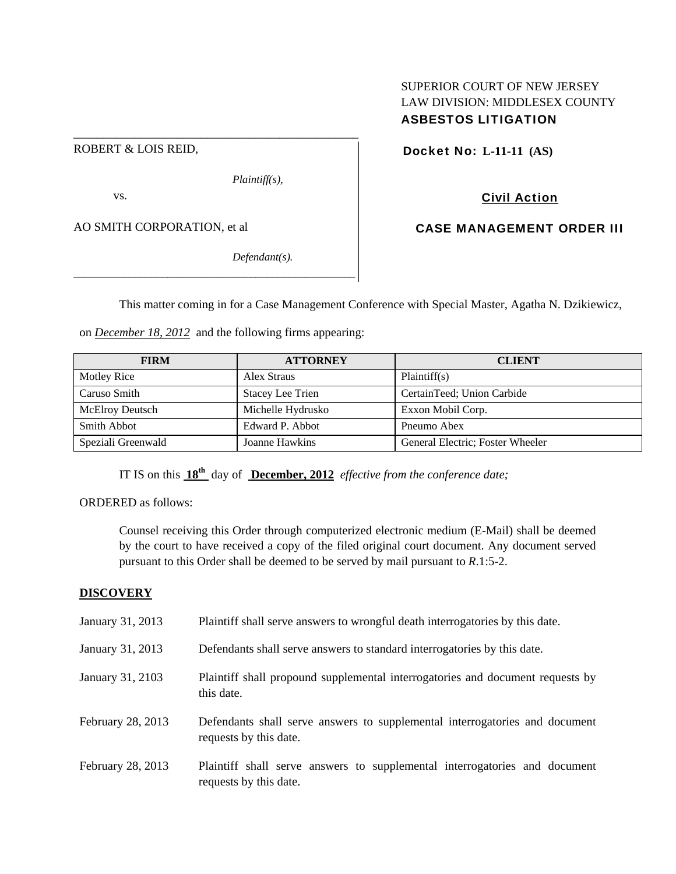## SUPERIOR COURT OF NEW JERSEY LAW DIVISION: MIDDLESEX COUNTY ASBESTOS LITIGATION

ROBERT & LOIS REID,

*Plaintiff(s),* 

vs.

AO SMITH CORPORATION, et al

*Defendant(s).* 

Docket No: **L-11-11 (AS)** 

# Civil Action

CASE MANAGEMENT ORDER III

This matter coming in for a Case Management Conference with Special Master, Agatha N. Dzikiewicz,

on *December 18, 2012* and the following firms appearing:

\_\_\_\_\_\_\_\_\_\_\_\_\_\_\_\_\_\_\_\_\_\_\_\_\_\_\_\_\_\_\_\_\_\_\_\_\_\_\_\_\_\_\_\_\_\_\_\_\_\_\_

\_\_\_\_\_\_\_\_\_\_\_\_\_\_\_\_\_\_\_\_\_\_\_\_\_\_\_\_\_\_\_\_\_\_\_\_\_\_\_\_\_\_\_\_\_\_\_

| <b>FIRM</b>            | <b>ATTORNEY</b>         | <b>CLIENT</b>                    |
|------------------------|-------------------------|----------------------------------|
| Motley Rice            | Alex Straus             | Plaintiff(s)                     |
| Caruso Smith           | <b>Stacey Lee Trien</b> | CertainTeed; Union Carbide       |
| <b>McElroy Deutsch</b> | Michelle Hydrusko       | Exxon Mobil Corp.                |
| <b>Smith Abbot</b>     | Edward P. Abbot         | Pneumo Abex                      |
| Speziali Greenwald     | Joanne Hawkins          | General Electric; Foster Wheeler |

IT IS on this **18th** day of **December, 2012** *effective from the conference date;*

ORDERED as follows:

Counsel receiving this Order through computerized electronic medium (E-Mail) shall be deemed by the court to have received a copy of the filed original court document. Any document served pursuant to this Order shall be deemed to be served by mail pursuant to *R*.1:5-2.

## **DISCOVERY**

| January 31, 2013  | Plaintiff shall serve answers to wrongful death interrogatories by this date.                         |
|-------------------|-------------------------------------------------------------------------------------------------------|
| January 31, 2013  | Defendants shall serve answers to standard interrogatories by this date.                              |
| January 31, 2103  | Plaintiff shall propound supplemental interrogatories and document requests by<br>this date.          |
| February 28, 2013 | Defendants shall serve answers to supplemental interrogatories and document<br>requests by this date. |
| February 28, 2013 | Plaintiff shall serve answers to supplemental interrogatories and document<br>requests by this date.  |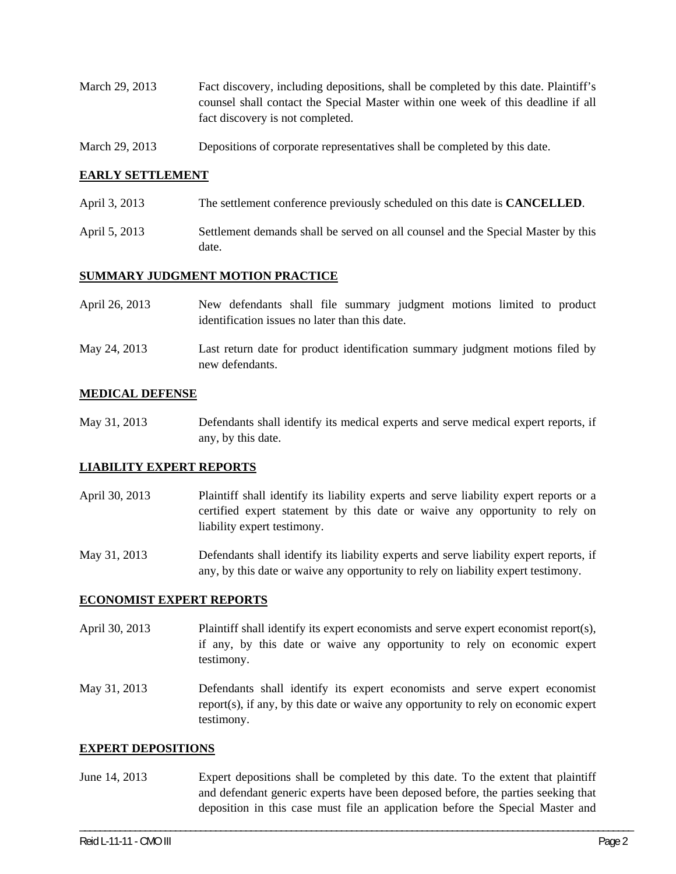- March 29, 2013 Fact discovery, including depositions, shall be completed by this date. Plaintiff's counsel shall contact the Special Master within one week of this deadline if all fact discovery is not completed.
- March 29, 2013 Depositions of corporate representatives shall be completed by this date.

### **EARLY SETTLEMENT**

- April 3, 2013 The settlement conference previously scheduled on this date is **CANCELLED**.
- April 5, 2013 Settlement demands shall be served on all counsel and the Special Master by this date.

#### **SUMMARY JUDGMENT MOTION PRACTICE**

new defendants.

| April 26, 2013 | New defendants shall file summary judgment motions limited to product         |  |  |  |
|----------------|-------------------------------------------------------------------------------|--|--|--|
|                | identification issues no later than this date.                                |  |  |  |
| May 24, 2013   | Last return date for product identification summary judgment motions filed by |  |  |  |

#### **MEDICAL DEFENSE**

May 31, 2013 Defendants shall identify its medical experts and serve medical expert reports, if any, by this date.

#### **LIABILITY EXPERT REPORTS**

April 30, 2013 Plaintiff shall identify its liability experts and serve liability expert reports or a certified expert statement by this date or waive any opportunity to rely on liability expert testimony.

May 31, 2013 Defendants shall identify its liability experts and serve liability expert reports, if any, by this date or waive any opportunity to rely on liability expert testimony.

#### **ECONOMIST EXPERT REPORTS**

- April 30, 2013 Plaintiff shall identify its expert economists and serve expert economist report(s), if any, by this date or waive any opportunity to rely on economic expert testimony.
- May 31, 2013 Defendants shall identify its expert economists and serve expert economist report(s), if any, by this date or waive any opportunity to rely on economic expert testimony.

#### **EXPERT DEPOSITIONS**

June 14, 2013 Expert depositions shall be completed by this date. To the extent that plaintiff and defendant generic experts have been deposed before, the parties seeking that deposition in this case must file an application before the Special Master and

\_\_\_\_\_\_\_\_\_\_\_\_\_\_\_\_\_\_\_\_\_\_\_\_\_\_\_\_\_\_\_\_\_\_\_\_\_\_\_\_\_\_\_\_\_\_\_\_\_\_\_\_\_\_\_\_\_\_\_\_\_\_\_\_\_\_\_\_\_\_\_\_\_\_\_\_\_\_\_\_\_\_\_\_\_\_\_\_\_\_\_\_\_\_\_\_\_\_\_\_\_\_\_\_\_\_\_\_\_\_